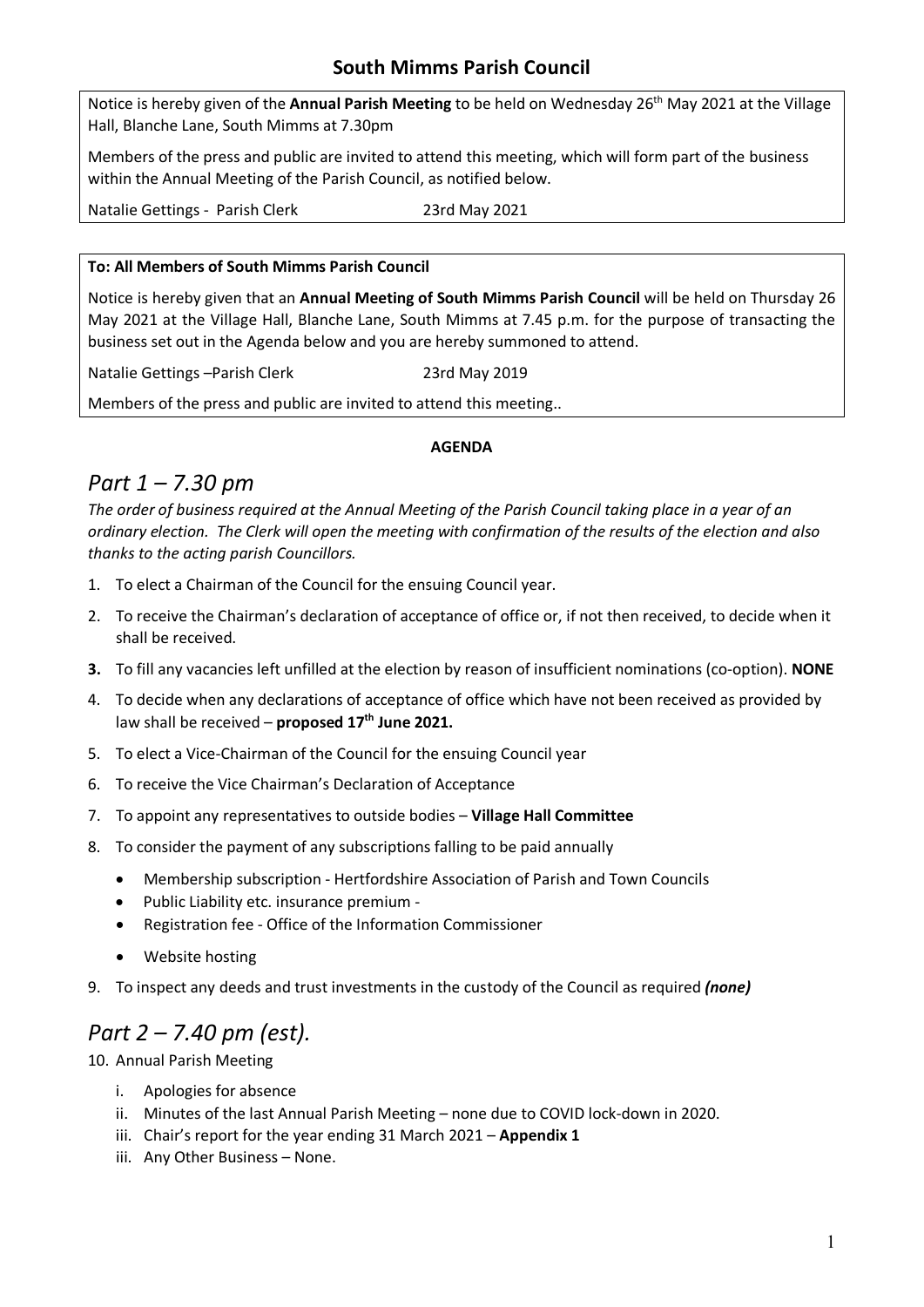### **South Mimms Parish Council**

Notice is hereby given of the Annual Parish Meeting to be held on Wednesday 26<sup>th</sup> May 2021 at the Village Hall, Blanche Lane, South Mimms at 7.30pm

Members of the press and public are invited to attend this meeting, which will form part of the business within the Annual Meeting of the Parish Council, as notified below.

Natalie Gettings - Parish Clerk 23rd May 2021

#### **To: All Members of South Mimms Parish Council**

Notice is hereby given that an **Annual Meeting of South Mimms Parish Council** will be held on Thursday 26 May 2021 at the Village Hall, Blanche Lane, South Mimms at 7.45 p.m. for the purpose of transacting the business set out in the Agenda below and you are hereby summoned to attend.

Natalie Gettings – Parish Clerk 23rd May 2019

Members of the press and public are invited to attend this meeting..

#### **AGENDA**

## *Part 1 – 7.30 pm*

*The order of business required at the Annual Meeting of the Parish Council taking place in a year of an ordinary election. The Clerk will open the meeting with confirmation of the results of the election and also thanks to the acting parish Councillors.*

- 1. To elect a Chairman of the Council for the ensuing Council year.
- 2. To receive the Chairman's declaration of acceptance of office or, if not then received, to decide when it shall be received.
- **3.** To fill any vacancies left unfilled at the election by reason of insufficient nominations (co-option). **NONE**
- 4. To decide when any declarations of acceptance of office which have not been received as provided by law shall be received – proposed 17<sup>th</sup> June 2021.
- 5. To elect a Vice-Chairman of the Council for the ensuing Council year
- 6. To receive the Vice Chairman's Declaration of Acceptance
- 7. To appoint any representatives to outside bodies **Village Hall Committee**
- 8. To consider the payment of any subscriptions falling to be paid annually
	- Membership subscription Hertfordshire Association of Parish and Town Councils
	- Public Liability etc. insurance premium -
	- Registration fee Office of the Information Commissioner
	- Website hosting
- 9. To inspect any deeds and trust investments in the custody of the Council as required *(none)*

### *Part 2 – 7.40 pm (est).*

10. Annual Parish Meeting

- i. Apologies for absence
- ii. Minutes of the last Annual Parish Meeting none due to COVID lock-down in 2020.
- iii. Chair's report for the year ending 31 March 2021 **Appendix 1**
- iii. Any Other Business None.